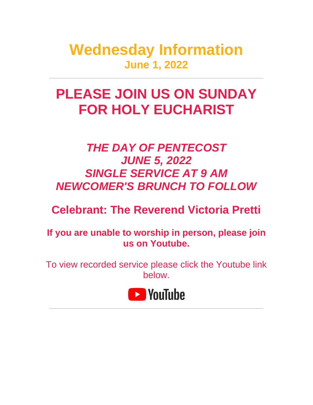**Wednesday Information June 1, 2022**

# **PLEASE JOIN US ON SUNDAY FOR HOLY EUCHARIST**

# *THE DAY OF PENTECOST JUNE 5, 2022 SINGLE SERVICE AT 9 AM NEWCOMER'S BRUNCH TO FOLLOW*

# **Celebrant: The Reverend Victoria Pretti**

**If you are unable to worship in person, please join us on Youtube.**

To view recorded service please click the Youtube link below.

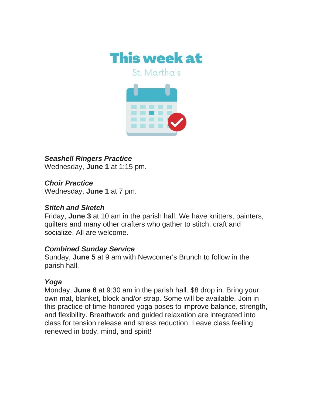

*Seashell Ringers Practice* Wednesday, **June 1** at 1:15 pm.

*Choir Practice* Wednesday, **June 1** at 7 pm.

### *Stitch and Sketch*

Friday, **June 3** at 10 am in the parish hall. We have knitters, painters, quilters and many other crafters who gather to stitch, craft and socialize. All are welcome.

### *Combined Sunday Service*

Sunday, **June 5** at 9 am with Newcomer's Brunch to follow in the parish hall.

#### *Yoga*

Monday, **June 6** at 9:30 am in the parish hall. \$8 drop in. Bring your own mat, blanket, block and/or strap. Some will be available. Join in this practice of time-honored yoga poses to improve balance, strength, and flexibility. Breathwork and guided relaxation are integrated into class for tension release and stress reduction. Leave class feeling renewed in body, mind, and spirit!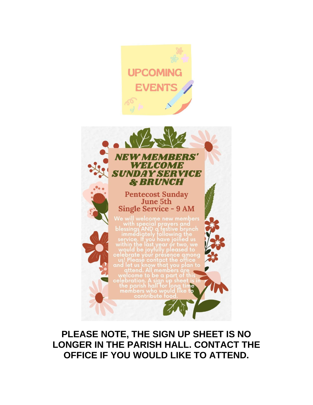

**PLEASE NOTE, THE SIGN UP SHEET IS NO LONGER IN THE PARISH HALL. CONTACT THE OFFICE IF YOU WOULD LIKE TO ATTEND.**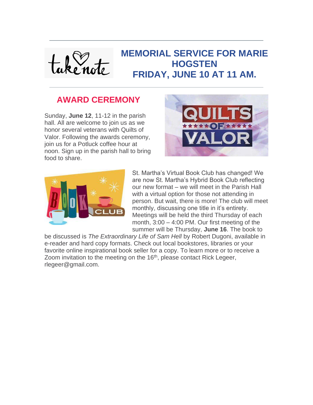

### **AWARD CEREMONY**

Sunday, **June 12**, 11-12 in the parish hall. All are welcome to join us as we honor several veterans with Quilts of Valor. Following the awards ceremony, join us for a Potluck coffee hour at noon. Sign up in the parish hall to bring food to share.





St. Martha's Virtual Book Club has changed! We are now St. Martha's Hybrid Book Club reflecting our new format – we will meet in the Parish Hall with a virtual option for those not attending in person. But wait, there is more! The club will meet monthly, discussing one title in it's entirety. Meetings will be held the third Thursday of each month, 3:00 – 4:00 PM. Our first meeting of the summer will be Thursday, **June 16**. The book to

be discussed is *The Extraordinary Life of Sam Hell* by Robert Dugoni, available in e-reader and hard copy formats. Check out local bookstores, libraries or your favorite online inspirational book seller for a copy. To learn more or to receive a Zoom invitation to the meeting on the 16<sup>th</sup>, please contact Rick Legeer, rlegeer@gmail.com.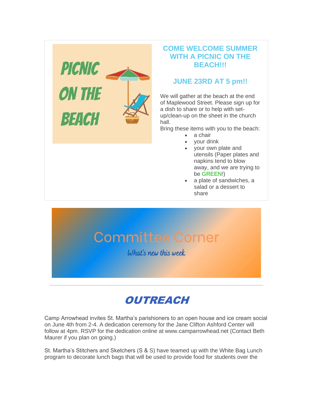

#### **COME WELCOME SUMMER WITH A PICNIC ON THE BEACH!!!**

#### **JUNE 23RD AT 5 pm!!**

We will gather at the beach at the end of Maplewood Street. Please sign up for a dish to share or to help with setup/clean-up on the sheet in the church hall.

Bring these items with you to the beach:

- a chair
- your drink
- your own plate and utensils (Paper plates and napkins tend to blow away, and we are trying to be GREEN!)
- a plate of sandwiches, a salad or a dessert to share



# **OUTREACH**

Camp Arrowhead invites St. Martha's parishioners to an open house and ice cream social on June 4th from 2-4. A dedication ceremony for the Jane Clifton Ashford Center will follow at 4pm. RSVP for the dedication online at www.camparrowhead.net (Contact Beth Maurer if you plan on going.)

St. Martha's Stitchers and Sketchers (S & S) have teamed up with the White Bag Lunch program to decorate lunch bags that will be used to provide food for students over the